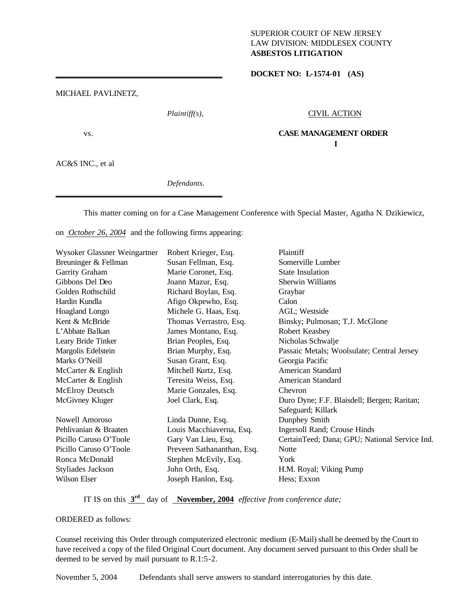## SUPERIOR COURT OF NEW JERSEY LAW DIVISION: MIDDLESEX COUNTY **ASBESTOS LITIGATION**

**I** 

\_\_\_\_\_\_\_\_\_\_\_\_\_\_\_\_\_\_\_\_\_\_\_\_\_\_\_\_\_\_\_\_\_\_\_\_\_\_\_\_\_ **DOCKET NO: L-1574-01 (AS)**

MICHAEL PAVLINETZ,

*Plaintiff(s),* CIVIL ACTION

vs. **CASE MANAGEMENT ORDER**

AC&S INC., et al

*Defendants.*

This matter coming on for a Case Management Conference with Special Master, Agatha N. Dzikiewicz,

on *October 26, 2004* and the following firms appearing:

\_\_\_\_\_\_\_\_\_\_\_\_\_\_\_\_\_\_\_\_\_\_\_\_\_\_\_\_\_\_\_\_\_\_\_\_\_\_\_\_\_

| Wysoker Glassner Weingartner | Robert Krieger, Esq.       | Plaintiff                                     |
|------------------------------|----------------------------|-----------------------------------------------|
| Breuninger & Fellman         | Susan Fellman, Esq.        | Somerville Lumber                             |
| Garrity Graham               | Marie Coronet, Esq.        | <b>State Insulation</b>                       |
| Gibbons Del Deo              | Joann Mazur, Esq.          | Sherwin Williams                              |
| Golden Rothschild            | Richard Boylan, Esq.       | Graybar                                       |
| Hardin Kundla                | Afigo Okpewho, Esq.        | Calon                                         |
| Hoagland Longo               | Michele G. Haas, Esq.      | AGL; Westside                                 |
| Kent & McBride               | Thomas Verrastro, Esq.     | Binsky; Pulmosan; T.J. McGlone                |
| L'Abbate Balkan              | James Montano, Esq.        | Robert Keasbey                                |
| Leary Bride Tinker           | Brian Peoples, Esq.        | Nicholas Schwalje                             |
| Margolis Edelstein           | Brian Murphy, Esq.         | Passaic Metals; Woolsulate; Central Jersey    |
| Marks O'Neill                | Susan Grant, Esq.          | Georgia Pacific                               |
| McCarter & English           | Mitchell Kurtz, Esq.       | American Standard                             |
| McCarter & English           | Teresita Weiss, Esq.       | American Standard                             |
| <b>McElroy Deutsch</b>       | Marie Gonzales, Esq.       | Chevron                                       |
| McGivney Kluger              | Joel Clark, Esq.           | Duro Dyne; F.F. Blaisdell; Bergen; Raritan;   |
|                              |                            | Safeguard; Killark                            |
| <b>Nowell Amoroso</b>        | Linda Dunne, Esq.          | Dunphey Smith                                 |
| Pehlivanian & Braaten        | Louis Macchiaverna, Esq.   | Ingersoll Rand; Crouse Hinds                  |
| Picillo Caruso O'Toole       | Gary Van Lieu, Esq.        | CertainTeed; Dana; GPU; National Service Ind. |
| Picillo Caruso O'Toole       | Preveen Sathananthan, Esq. | <b>Notte</b>                                  |
| Ronca McDonald               | Stephen McEvily, Esq.      | York                                          |
| Styliades Jackson            | John Orth, Esq.            | H.M. Royal; Viking Pump                       |
| Wilson Elser                 | Joseph Hanlon, Esq.        | Hess; Exxon                                   |

IT IS on this **3rd** day of **November, 2004** *effective from conference date;*

## ORDERED as follows:

Counsel receiving this Order through computerized electronic medium (E-Mail) shall be deemed by the Court to have received a copy of the filed Original Court document. Any document served pursuant to this Order shall be deemed to be served by mail pursuant to R.1:5-2.

November 5, 2004 Defendants shall serve answers to standard interrogatories by this date.